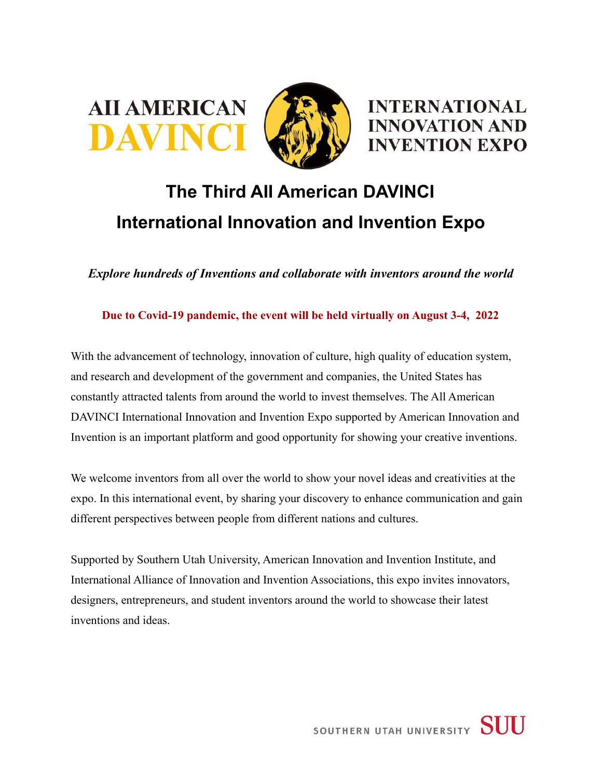



## **The Third AII American DAVINCI International Innovation and Invention Expo**

*Explore hundreds of Inventions and collaborate with inventors around the world*

**Due to Covid-19 pandemic, the event will be held virtually on August 3-4, 2022**

With the advancement of technology, innovation of culture, high quality of education system, and research and development of the government and companies, the United States has constantly attracted talents from around the world to invest themselves. The All American DAVINCI International Innovation and Invention Expo supported by American Innovation and Invention is an important platform and good opportunity for showing your creative inventions.

We welcome inventors from all over the world to show your novel ideas and creativities at the expo. In this international event, by sharing your discovery to enhance communication and gain different perspectives between people from different nations and cultures.

Supported by Southern Utah University, American Innovation and Invention Institute, and International Alliance of Innovation and Invention Associations, this expo invites innovators, designers, entrepreneurs, and student inventors around the world to showcase their latest inventions and ideas.

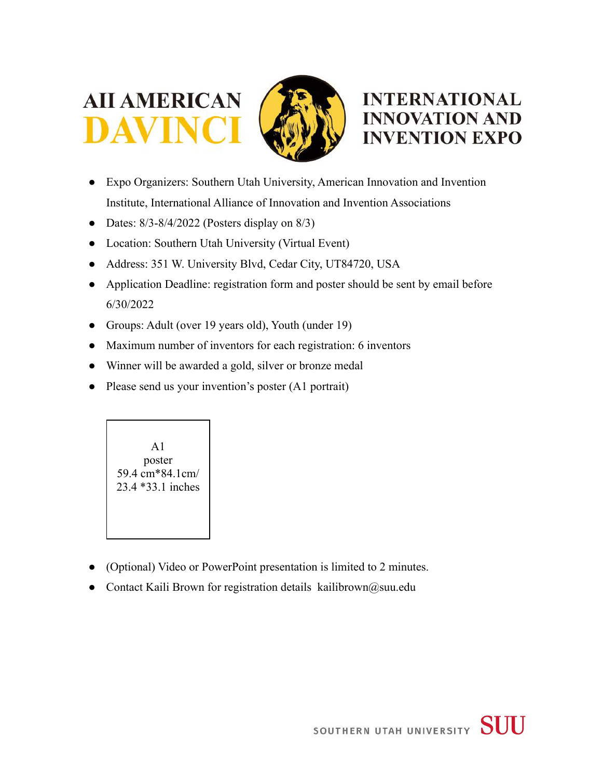





- Expo Organizers: Southern Utah University, American Innovation and Invention Institute, International Alliance of Innovation and Invention Associations
- Dates:  $8/3 8/4/2022$  (Posters display on  $8/3$ )
- Location: Southern Utah University (Virtual Event)
- Address: 351 W. University Blvd, Cedar City, UT84720, USA
- Application Deadline: registration form and poster should be sent by email before 6/30/2022
- Groups: Adult (over 19 years old), Youth (under 19)
- Maximum number of inventors for each registration: 6 inventors
- Winner will be awarded a gold, silver or bronze medal
- Please send us your invention's poster (A1 portrait)



- (Optional) Video or PowerPoint presentation is limited to 2 minutes.
- Contact Kaili Brown for registration details [kailibrown@suu.edu](mailto:kailibrown@suu.edu)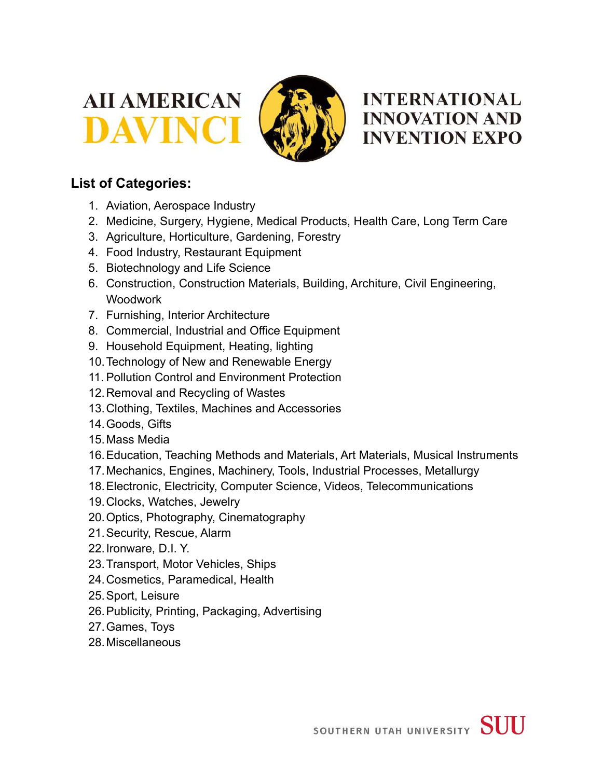





## **List of Categories:**

- 1. Aviation, Aerospace Industry
- 2. Medicine, Surgery, Hygiene, Medical Products, Health Care, Long Term Care
- 3. Agriculture, Horticulture, Gardening, Forestry
- 4. Food Industry, Restaurant Equipment
- 5. Biotechnology and Life Science
- 6. Construction, Construction Materials, Building, Architure, Civil Engineering, **Woodwork**
- 7. Furnishing, Interior Architecture
- 8. Commercial, Industrial and Office Equipment
- 9. Household Equipment, Heating, lighting
- 10.Technology of New and Renewable Energy
- 11. Pollution Control and Environment Protection
- 12.Removal and Recycling of Wastes
- 13.Clothing, Textiles, Machines and Accessories
- 14.Goods, Gifts
- 15.Mass Media
- 16.Education, Teaching Methods and Materials, Art Materials, Musical Instruments
- 17.Mechanics, Engines, Machinery, Tools, Industrial Processes, Metallurgy
- 18.Electronic, Electricity, Computer Science, Videos, Telecommunications
- 19.Clocks, Watches, Jewelry
- 20.Optics, Photography, Cinematography
- 21.Security, Rescue, Alarm
- 22.Ironware, D.I. Y.
- 23.Transport, Motor Vehicles, Ships
- 24.Cosmetics, Paramedical, Health
- 25.Sport, Leisure
- 26.Publicity, Printing, Packaging, Advertising
- 27.Games, Toys
- 28.Miscellaneous

SOUTHERN UTAH UNIVERSITY SUU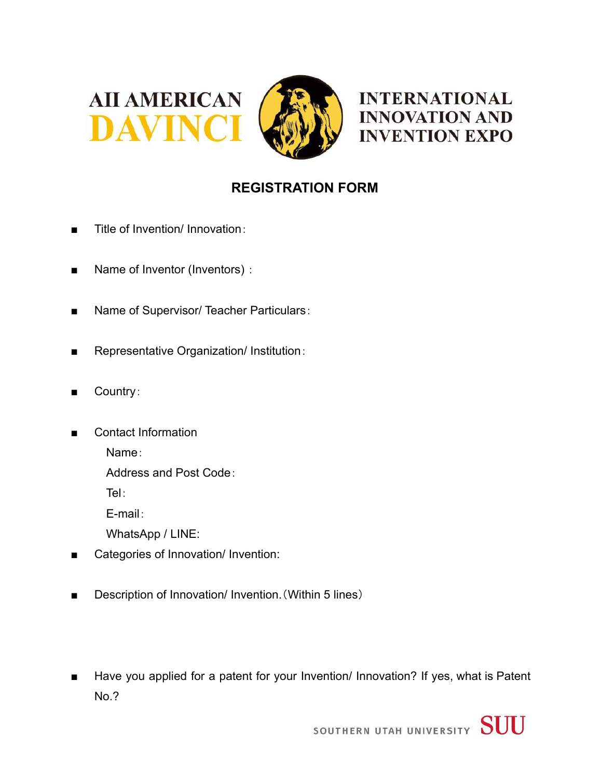



**INTERNATIONAL INNOVATION AND INVENTION EXPO** 

## **REGISTRATION FORM**

- Title of Invention/ Innovation:
- Name of Inventor (Inventors) :
- Name of Supervisor/ Teacher Particulars:
- Representative Organization/ Institution:
- Country:
- Contact Information

Name:

Address and Post Code:

Tel:

E-mail:

WhatsApp / LINE:

- Categories of Innovation/ Invention:
- Description of Innovation/ Invention. (Within 5 lines)
- Have you applied for a patent for your Invention/ Innovation? If yes, what is Patent No.?